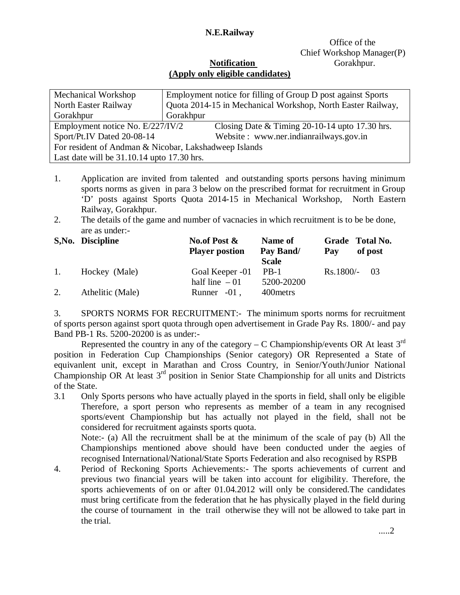## **N.E.Railway**

# Office of the Chief Workshop Manager(P)

### **Notification Gorakhpur. (Apply only eligible candidates)**

| Mechanical Workshop                                   | Employment notice for filling of Group D post against Sports |  |  |  |  |  |  |
|-------------------------------------------------------|--------------------------------------------------------------|--|--|--|--|--|--|
| North Easter Railway                                  | Quota 2014-15 in Mechanical Workshop, North Easter Railway,  |  |  |  |  |  |  |
| Gorakhpur                                             | Gorakhpur                                                    |  |  |  |  |  |  |
| Employment notice No. E/227/IV/2                      | Closing Date $&$ Timing 20-10-14 upto 17.30 hrs.             |  |  |  |  |  |  |
| Sport/Pt.IV Dated 20-08-14                            | Website: www.ner.indianrailways.gov.in                       |  |  |  |  |  |  |
| For resident of Andman & Nicobar, Lakshadweep Islands |                                                              |  |  |  |  |  |  |
| Last date will be $31.10.14$ upto $17.30$ hrs.        |                                                              |  |  |  |  |  |  |

- 1. Application are invited from talented and outstanding sports persons having minimum sports norms as given in para 3 below on the prescribed format for recruitment in Group 'D' posts against Sports Quota 2014-15 in Mechanical Workshop, North Eastern Railway, Gorakhpur.
- 2. The details of the game and number of vacnacies in which recruitment is to be be done, are as under:-

|    | S, No. Discipline | No.of Post $\&$       | Name of      |             | Grade Total No. |  |
|----|-------------------|-----------------------|--------------|-------------|-----------------|--|
|    |                   | <b>Player postion</b> | Pay Band/    | Pay         | of post         |  |
|    |                   |                       | <b>Scale</b> |             |                 |  |
| 1. | Hockey (Male)     | Goal Keeper -01       | $PB-1$       | $Rs.1800/-$ | - 03            |  |
|    |                   | half line $-01$       | 5200-20200   |             |                 |  |
| 2. | Athelitic (Male)  | Runner $-01$ ,        | 400 metrs    |             |                 |  |

3. SPORTS NORMS FOR RECRUITMENT:- The minimum sports norms for recruitment of sports person against sport quota through open advertisement in Grade Pay Rs. 1800/- and pay Band PB-1 Rs. 5200-20200 is as under:-

Represented the country in any of the category – C Championship/events OR At least  $3^{rd}$ position in Federation Cup Championships (Senior category) OR Represented a State of equivanlent unit, except in Marathan and Cross Country, in Senior/Youth/Junior National Championship OR At least  $3<sup>rd</sup>$  position in Senior State Championship for all units and Districts of the State.

3.1 Only Sports persons who have actually played in the sports in field, shall only be eligible Therefore, a sport person who represents as member of a team in any recognised sports/event Championship but has actually not played in the field, shall not be considered for recruitment againsts sports quota.

Note:- (a) All the recruitment shall be at the minimum of the scale of pay (b) All the Championships mentioned above should have been conducted under the aegies of recognised International/National/State Sports Federation and also recognised by RSPB

4. Period of Reckoning Sports Achievements:- The sports achievements of current and previous two financial years will be taken into account for eligibility. Therefore, the sports achievements of on or after 01.04.2012 will only be considered.The candidates must bring certificate from the federation that he has physically played in the field during the course of tournament in the trail otherwise they will not be allowed to take part in the trial.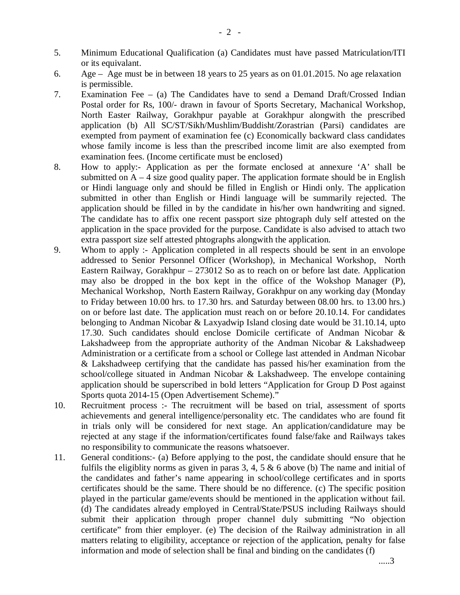- 5. Minimum Educational Qualification (a) Candidates must have passed Matriculation/ITI or its equivalant.
- 6. Age Age must be in between 18 years to 25 years as on 01.01.2015. No age relaxation is permissible.
- 7. Examination Fee (a) The Candidates have to send a Demand Draft/Crossed Indian Postal order for Rs, 100/- drawn in favour of Sports Secretary, Machanical Workshop, North Easter Railway, Gorakhpur payable at Gorakhpur alongwith the prescribed application (b) All SC/ST/Sikh/Mushlim/Buddisht/Zorastrian (Parsi) candidates are exempted from payment of examination fee (c) Economically backward class candidates whose family income is less than the prescribed income limit are also exempted from examination fees. (Income certificate must be enclosed)
- 8. How to apply:- Application as per the formate enclosed at annexure 'A' shall be submitted on  $A - 4$  size good quality paper. The application formate should be in English or Hindi language only and should be filled in English or Hindi only. The application submitted in other than English or Hindi language will be summarily rejected. The application should be filled in by the candidate in his/her own handwriting and signed. The candidate has to affix one recent passport size phtograph duly self attested on the application in the space provided for the purpose. Candidate is also advised to attach two extra passport size self attested phtographs alongwith the application.
- 9. Whom to apply :- Application completed in all respects should be sent in an envolope addressed to Senior Personnel Officer (Workshop), in Mechanical Workshop, North Eastern Railway, Gorakhpur – 273012 So as to reach on or before last date. Application may also be dropped in the box kept in the office of the Wokshop Manager (P), Mechanical Workshop, North Eastern Railway, Gorakhpur on any working day (Monday to Friday between 10.00 hrs. to 17.30 hrs. and Saturday between 08.00 hrs. to 13.00 hrs.) on or before last date. The application must reach on or before 20.10.14. For candidates belonging to Andman Nicobar & Laxyadwip Island closing date would be 31.10.14, upto 17.30. Such candidates should enclose Domicile certificate of Andman Nicobar & Lakshadweep from the appropriate authority of the Andman Nicobar & Lakshadweep Administration or a certificate from a school or College last attended in Andman Nicobar & Lakshadweep certifying that the candidate has passed his/her examination from the school/college situated in Andman Nicobar & Lakshadweep. The envelope containing application should be superscribed in bold letters "Application for Group D Post against Sports quota 2014-15 (Open Advertisement Scheme)."
- 10. Recruitment process :- The recruitment will be based on trial, assessment of sports achievements and general intelligence/personality etc. The candidates who are found fit in trials only will be considered for next stage. An application/candidature may be rejected at any stage if the information/certificates found false/fake and Railways takes no responsibility to communicate the reasons whatsoever.
- 11. General conditions:- (a) Before applying to the post, the candidate should ensure that he fulfils the eligiblity norms as given in paras 3, 4, 5  $\&$  6 above (b) The name and initial of the candidates and father's name appearing in school/college certificates and in sports certificates should be the same. There should be no difference. (c) The specific position played in the particular game/events should be mentioned in the application without fail. (d) The candidates already employed in Central/State/PSUS including Railways should submit their application through proper channel duly submitting "No objection certificate" from thier employer. (e) The decision of the Railway administration in all matters relating to eligibility, acceptance or rejection of the application, penalty for false information and mode of selection shall be final and binding on the candidates (f)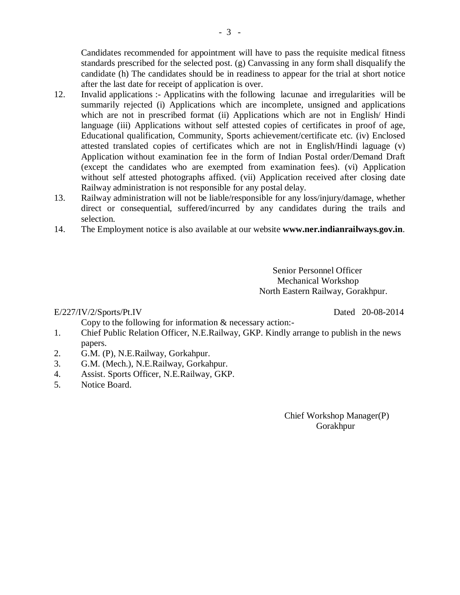Candidates recommended for appointment will have to pass the requisite medical fitness standards prescribed for the selected post. (g) Canvassing in any form shall disqualify the candidate (h) The candidates should be in readiness to appear for the trial at short notice after the last date for receipt of application is over.

- 12. Invalid applications :- Applicatins with the following lacunae and irregularities will be summarily rejected (i) Applications which are incomplete, unsigned and applications which are not in prescribed format (ii) Applications which are not in English/ Hindi language (iii) Applications without self attested copies of certificates in proof of age, Educational qualification, Community, Sports achievement/certificate etc. (iv) Enclosed attested translated copies of certificates which are not in English/Hindi laguage (v) Application without examination fee in the form of Indian Postal order/Demand Draft (except the candidates who are exempted from examination fees). (vi) Application without self attested photographs affixed. (vii) Application received after closing date Railway administration is not responsible for any postal delay.
- 13. Railway administration will not be liable/responsible for any loss/injury/damage, whether direct or consequential, suffered/incurred by any candidates during the trails and selection.
- 14. The Employment notice is also available at our website **www.ner.indianrailways.gov.in**.

 Senior Personnel Officer Mechanical Workshop North Eastern Railway, Gorakhpur.

#### E/227/IV/2/Sports/Pt.IV Dated 20-08-2014

Copy to the following for information & necessary action:-

- 1. Chief Public Relation Officer, N.E.Railway, GKP. Kindly arrange to publish in the news papers.
- 2. G.M. (P), N.E.Railway, Gorkahpur.
- 3. G.M. (Mech.), N.E.Railway, Gorkahpur.
- 4. Assist. Sports Officer, N.E.Railway, GKP.<br>5. Notice Board.
- Notice Board.

 Chief Workshop Manager(P) Gorakhpur